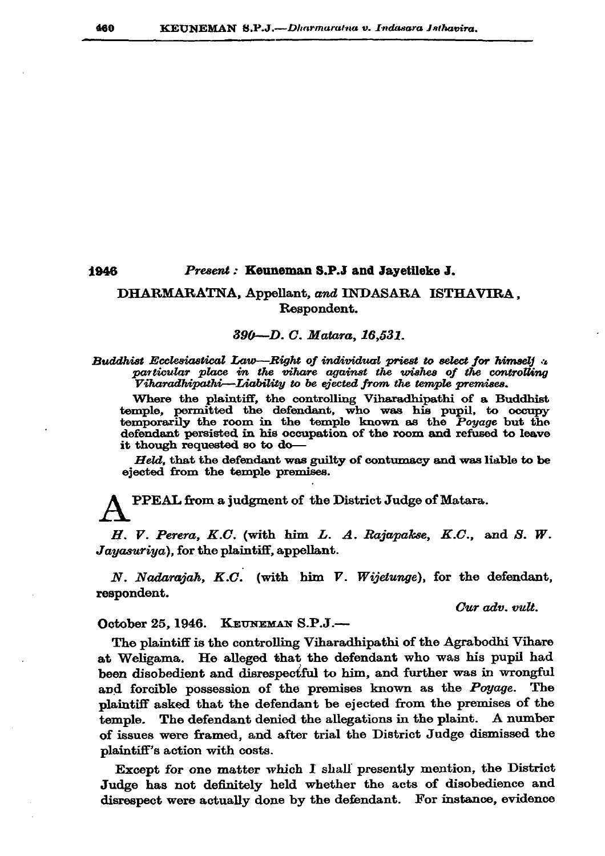## 1946 Present: Keuneman S.P.J and Javetileke J.

## DHARMARATNA, Appellant, and INDASARA ISTHAVIRA. Respondent.

## 390-D.C. Matara, 16,531.

Buddhist Ecclesiastical Law—Right of individual priest to select for himself  $\mu$ particular place in the vihare against the wishes of the controlling Viharadhipathi—Liability to be ejected from the temple premises.

Where the plaintiff, the controlling Viharadhipathi of a Buddhist temple, permitted the defendant, who was his pupil, to occupy temporarily the room in the temple known as the Poyage but the defendant persisted in his occupation of the room and refused to leave it though requested so to do-

Held, that the defendant was guilty of contumacy and was liable to be ejected from the temple premises.

PPEAL from a judgment of the District Judge of Matara.

H. V. Perera, K.C. (with him L. A. Rajapakse, K.C., and S. W. Jayasuriya), for the plaintiff, appellant.

N. Nadarajah, K.C. (with him V. Wijetunge), for the defendant, respondent.

Cur adv. vult.

## October 25, 1946. KEUNEMAN S.P.J.-

The plaintiff is the controlling Viharadhipathi of the Agrabodhi Vihare at Weligama. He alleged that the defendant who was his pupil had been disobedient and disrespectful to him, and further was in wrongful and forcible possession of the premises known as the *Poyage*. The plaintiff asked that the defendant be ejected from the premises of the temple. The defendant denied the allegations in the plaint. A number of issues were framed, and after trial the District Judge dismissed the plaintiff's action with costs.

Except for one matter which I shall presently mention, the District Judge has not definitely held whether the acts of disobedience and disrespect were actually done by the defendant. For instance, evidence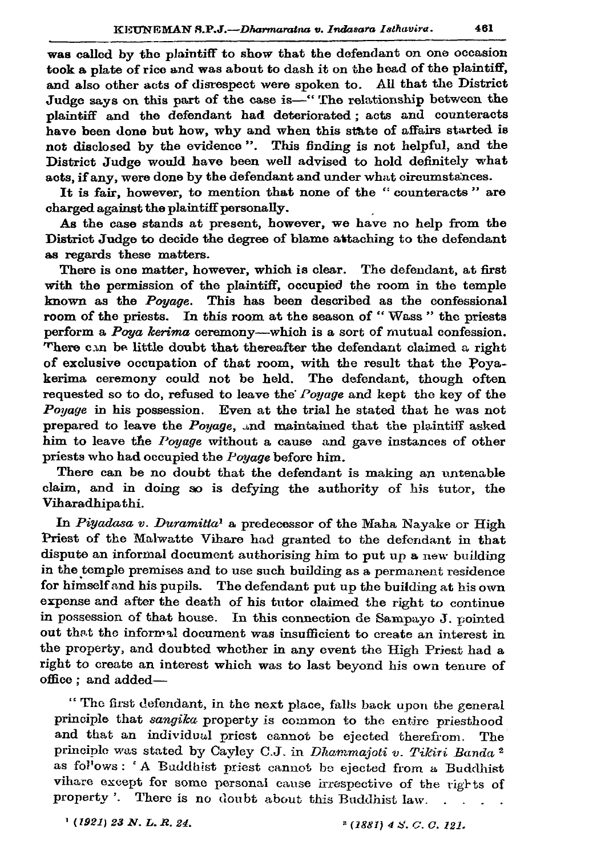was called by the plaintiff to show that the defendant on one occasion took a plate of rice and was about to dash it on the head of the plaintiff, and also other acts of disrespect were spoken to. All that the District Judge savs on this part of the case is—"The relationship between the plaintiff and the defendant had deteriorated; acts and counteracts have been done but how, why and when this state of affairs started is not disclosed by the evidence". This finding is not helpful, and the District Judge would have been well advised to hold definitely what acts, if any, were done by the defendant and under what circumstances.

It is fair, however, to mention that none of the "counteracts" are charged against the plaintiff personally.

As the case stands at present, however, we have no help from the District Judge to decide the degree of blame attaching to the defendant as regards these matters.

There is one matter, however, which is clear. The defendant, at first with the permission of the plaintiff, occupied the room in the temple known as the Pouage. This has been described as the confessional room of the priests. In this room at the season of "Wass" the priests perform a  $P_{oya}$  kerima ceremony—which is a sort of mutual confession. There can be little doubt that thereafter the defendant claimed a right of exclusive occupation of that room, with the result that the Poyakerima ceremony could not be held. The defendant, though often requested so to do, refused to leave the *Poyage* and kept the key of the Poyage in his possession. Even at the trial he stated that he was not prepared to leave the Poyage, and maintained that the plaintiff asked him to leave the *Poyage* without a cause and gave instances of other priests who had occupied the Poyage before him.

There can be no doubt that the defendant is making an untenable claim, and in doing so is defying the authority of his tutor, the Viharadhipathi.

In Piyadasa v. Duramitta<sup>1</sup> a predecessor of the Maha Nayake or High Priest of the Malwatte Vihare had granted to the defendant in that dispute an informal document authorising him to put up a new building in the temple premises and to use such building as a permanent residence for himself and his pupils. The defendant put up the building at his own expense and after the death of his tutor claimed the right to continue in possession of that house. In this connection de Sampayo J. pointed out that the informal document was insufficient to create an interest in the property, and doubted whether in any event the High Priest had a right to create an interest which was to last beyond his own tenure of office; and added-

"The first defendant, in the next place, falls back upon the general principle that sangika property is common to the entire priesthood and that an individual priest cannot be ejected therefrom. The principle was stated by Cayley C.J. in Dhammajoti v. Tikiri Banda<sup>2</sup> as fol'ows: 'A Buddhist priest cannot be ejected from a Buddhist vihare except for some personal cause irrespective of the rights of property'. There is no doubt about this Buddhist law.  $\sim$ 

 $(1921)$  23 N. L. R. 24.